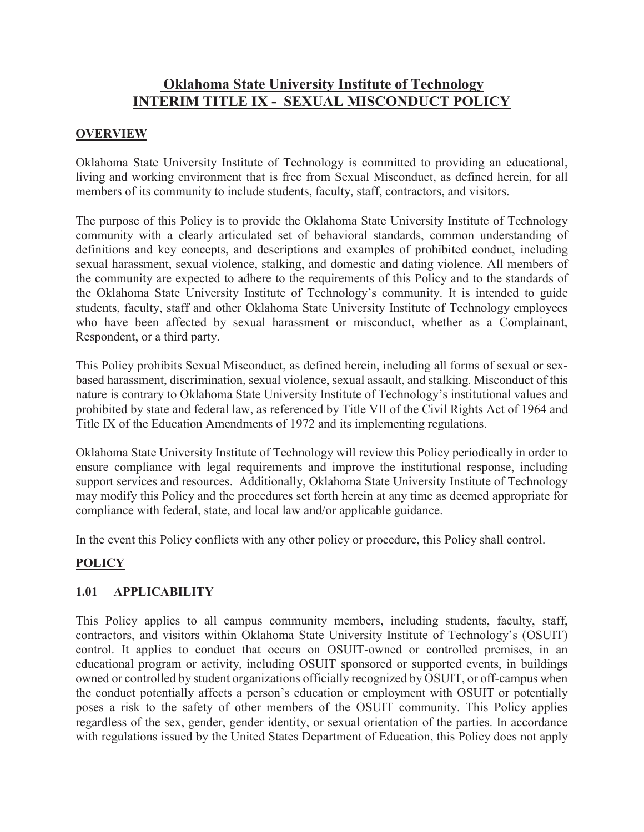# **Oklahoma State University Institute of Technology INTERIM TITLE IX - SEXUAL MISCONDUCT POLICY**

# **OVERVIEW**

Oklahoma State University Institute of Technology is committed to providing an educational, living and working environment that is free from Sexual Misconduct, as defined herein, for all members of its community to include students, faculty, staff, contractors, and visitors.

The purpose of this Policy is to provide the Oklahoma State University Institute of Technology community with a clearly articulated set of behavioral standards, common understanding of definitions and key concepts, and descriptions and examples of prohibited conduct, including sexual harassment, sexual violence, stalking, and domestic and dating violence. All members of the community are expected to adhere to the requirements of this Policy and to the standards of the Oklahoma State University Institute of Technology's community. It is intended to guide students, faculty, staff and other Oklahoma State University Institute of Technology employees who have been affected by sexual harassment or misconduct, whether as a Complainant, Respondent, or a third party.

This Policy prohibits Sexual Misconduct, as defined herein, including all forms of sexual or sexbased harassment, discrimination, sexual violence, sexual assault, and stalking. Misconduct of this nature is contrary to Oklahoma State University Institute of Technology's institutional values and prohibited by state and federal law, as referenced by Title VII of the Civil Rights Act of 1964 and Title IX of the Education Amendments of 1972 and its implementing regulations.

Oklahoma State University Institute of Technology will review this Policy periodically in order to ensure compliance with legal requirements and improve the institutional response, including support services and resources. Additionally, Oklahoma State University Institute of Technology may modify this Policy and the procedures set forth herein at any time as deemed appropriate for compliance with federal, state, and local law and/or applicable guidance.

In the event this Policy conflicts with any other policy or procedure, this Policy shall control.

# **POLICY**

### **1.01 APPLICABILITY**

This Policy applies to all campus community members, including students, faculty, staff, contractors, and visitors within Oklahoma State University Institute of Technology's (OSUIT) control. It applies to conduct that occurs on OSUIT-owned or controlled premises, in an educational program or activity, including OSUIT sponsored or supported events, in buildings owned or controlled by student organizations officially recognized by OSUIT, or off-campus when the conduct potentially affects a person's education or employment with OSUIT or potentially poses a risk to the safety of other members of the OSUIT community. This Policy applies regardless of the sex, gender, gender identity, or sexual orientation of the parties. In accordance with regulations issued by the United States Department of Education, this Policy does not apply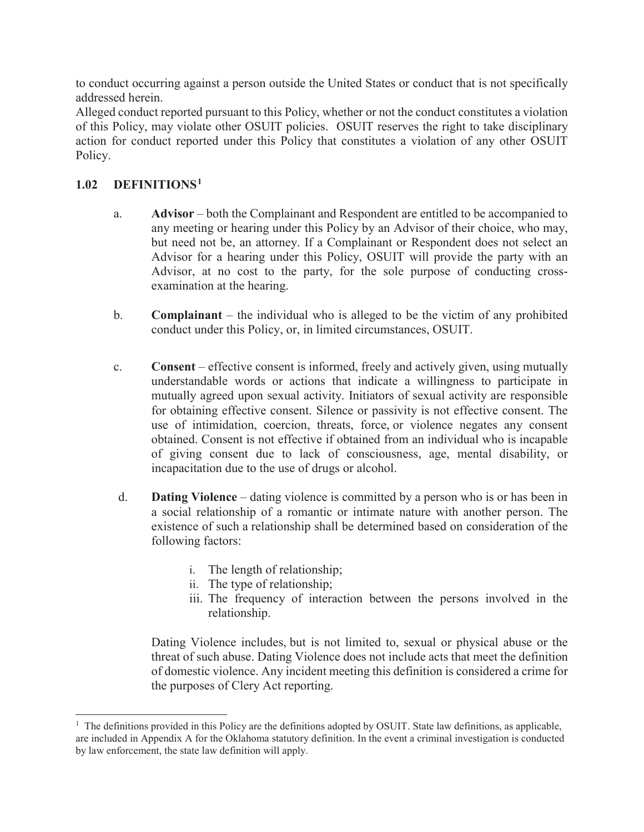to conduct occurring against a person outside the United States or conduct that is not specifically addressed herein.

Alleged conduct reported pursuant to this Policy, whether or not the conduct constitutes a violation of this Policy, may violate other OSUIT policies. OSUIT reserves the right to take disciplinary action for conduct reported under this Policy that constitutes a violation of any other OSUIT Policy.

## **1.02 DEFINITIONS1**

- a. **Advisor** both the Complainant and Respondent are entitled to be accompanied to any meeting or hearing under this Policy by an Advisor of their choice, who may, but need not be, an attorney. If a Complainant or Respondent does not select an Advisor for a hearing under this Policy, OSUIT will provide the party with an Advisor, at no cost to the party, for the sole purpose of conducting crossexamination at the hearing.
- b. **Complainant**  the individual who is alleged to be the victim of any prohibited conduct under this Policy, or, in limited circumstances, OSUIT.
- c. **Consent**  effective consent is informed, freely and actively given, using mutually understandable words or actions that indicate a willingness to participate in mutually agreed upon sexual activity. Initiators of sexual activity are responsible for obtaining effective consent. Silence or passivity is not effective consent. The use of intimidation, coercion, threats, force, or violence negates any consent obtained. Consent is not effective if obtained from an individual who is incapable of giving consent due to lack of consciousness, age, mental disability, or incapacitation due to the use of drugs or alcohol.
- d. **Dating Violence** dating violence is committed by a person who is or has been in a social relationship of a romantic or intimate nature with another person. The existence of such a relationship shall be determined based on consideration of the following factors:
	- i. The length of relationship;
	- ii. The type of relationship;
	- iii. The frequency of interaction between the persons involved in the relationship.

Dating Violence includes, but is not limited to, sexual or physical abuse or the threat of such abuse. Dating Violence does not include acts that meet the definition of domestic violence. Any incident meeting this definition is considered a crime for the purposes of Clery Act reporting.

 $\overline{a}$ <sup>1</sup> The definitions provided in this Policy are the definitions adopted by OSUIT. State law definitions, as applicable, are included in Appendix A for the Oklahoma statutory definition. In the event a criminal investigation is conducted by law enforcement, the state law definition will apply.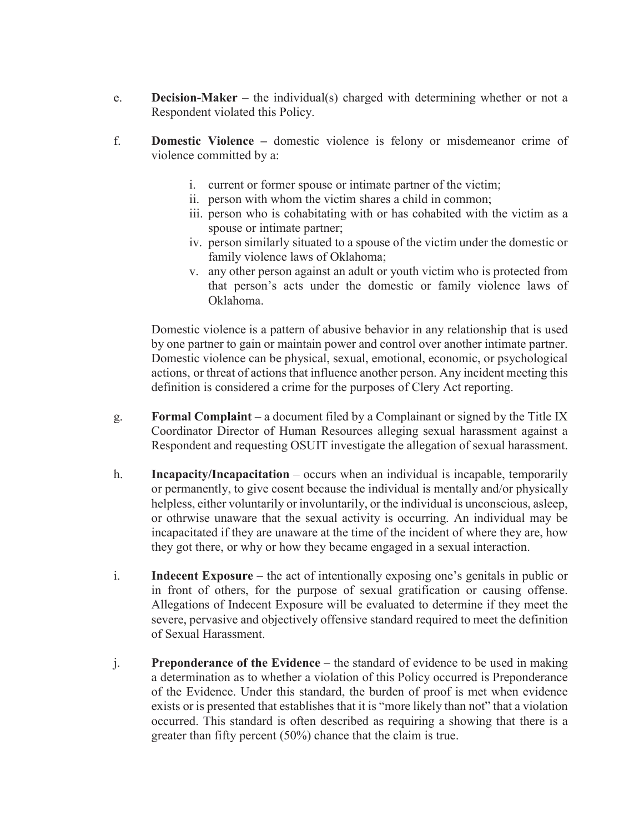- e. **Decision-Maker** the individual(s) charged with determining whether or not a Respondent violated this Policy.
- f. **Domestic Violence** domestic violence is felony or misdemeanor crime of violence committed by a:
	- i. current or former spouse or intimate partner of the victim;
	- ii. person with whom the victim shares a child in common;
	- iii. person who is cohabitating with or has cohabited with the victim as a spouse or intimate partner;
	- iv. person similarly situated to a spouse of the victim under the domestic or family violence laws of Oklahoma;
	- v. any other person against an adult or youth victim who is protected from that person's acts under the domestic or family violence laws of Oklahoma.

Domestic violence is a pattern of abusive behavior in any relationship that is used by one partner to gain or maintain power and control over another intimate partner. Domestic violence can be physical, sexual, emotional, economic, or psychological actions, or threat of actions that influence another person. Any incident meeting this definition is considered a crime for the purposes of Clery Act reporting.

- g. **Formal Complaint** a document filed by a Complainant or signed by the Title IX Coordinator Director of Human Resources alleging sexual harassment against a Respondent and requesting OSUIT investigate the allegation of sexual harassment.
- h. **Incapacity/Incapacitation**  occurs when an individual is incapable, temporarily or permanently, to give cosent because the individual is mentally and/or physically helpless, either voluntarily or involuntarily, or the individual is unconscious, asleep, or othrwise unaware that the sexual activity is occurring. An individual may be incapacitated if they are unaware at the time of the incident of where they are, how they got there, or why or how they became engaged in a sexual interaction.
- i. **Indecent Exposure** the act of intentionally exposing one's genitals in public or in front of others, for the purpose of sexual gratification or causing offense. Allegations of Indecent Exposure will be evaluated to determine if they meet the severe, pervasive and objectively offensive standard required to meet the definition of Sexual Harassment.
- j. **Preponderance of the Evidence**  the standard of evidence to be used in making a determination as to whether a violation of this Policy occurred is Preponderance of the Evidence. Under this standard, the burden of proof is met when evidence exists or is presented that establishes that it is "more likely than not" that a violation occurred. This standard is often described as requiring a showing that there is a greater than fifty percent (50%) chance that the claim is true.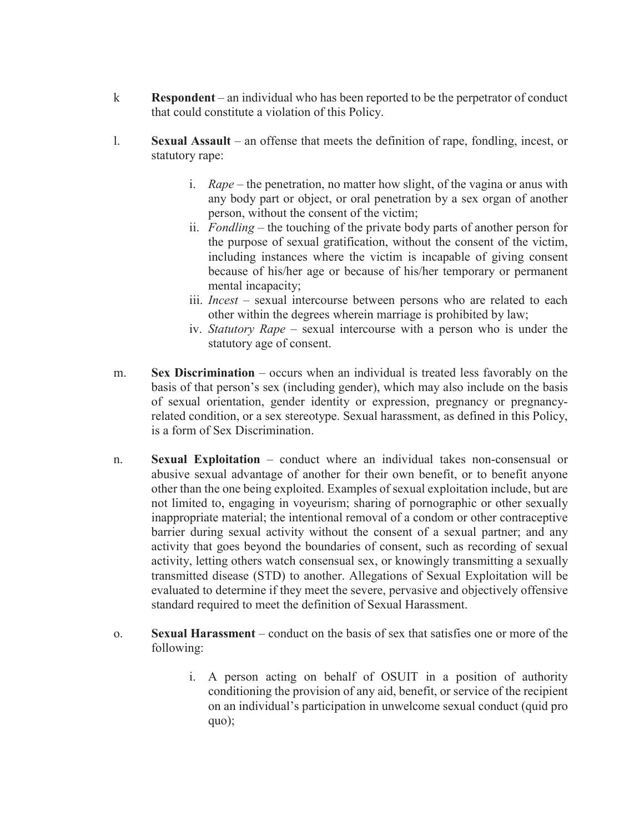- k **Respondent** an individual who has been reported to be the perpetrator of conduct that could constitute a violation of this Policy.
- l. **Sexual Assault** an offense that meets the definition of rape, fondling, incest, or statutory rape:
	- i. *Rape* the penetration, no matter how slight, of the vagina or anus with any body part or object, or oral penetration by a sex organ of another person, without the consent of the victim;
	- ii. *Fondling* the touching of the private body parts of another person for the purpose of sexual gratification, without the consent of the victim, including instances where the victim is incapable of giving consent because of his/her age or because of his/her temporary or permanent mental incapacity;
	- iii. *Incest* sexual intercourse between persons who are related to each other within the degrees wherein marriage is prohibited by law;
	- iv. *Statutory Rape*  sexual intercourse with a person who is under the statutory age of consent.
- m. **Sex Discrimination**  occurs when an individual is treated less favorably on the basis of that person's sex (including gender), which may also include on the basis of sexual orientation, gender identity or expression, pregnancy or pregnancyrelated condition, or a sex stereotype. Sexual harassment, as defined in this Policy, is a form of Sex Discrimination.
- n. **Sexual Exploitation** conduct where an individual takes non-consensual or abusive sexual advantage of another for their own benefit, or to benefit anyone other than the one being exploited. Examples of sexual exploitation include, but are not limited to, engaging in voyeurism; sharing of pornographic or other sexually inappropriate material; the intentional removal of a condom or other contraceptive barrier during sexual activity without the consent of a sexual partner; and any activity that goes beyond the boundaries of consent, such as recording of sexual activity, letting others watch consensual sex, or knowingly transmitting a sexually transmitted disease (STD) to another. Allegations of Sexual Exploitation will be evaluated to determine if they meet the severe, pervasive and objectively offensive standard required to meet the definition of Sexual Harassment.
- o. **Sexual Harassment**  conduct on the basis of sex that satisfies one or more of the following:
	- i. A person acting on behalf of OSUIT in a position of authority conditioning the provision of any aid, benefit, or service of the recipient on an individual's participation in unwelcome sexual conduct (quid pro quo);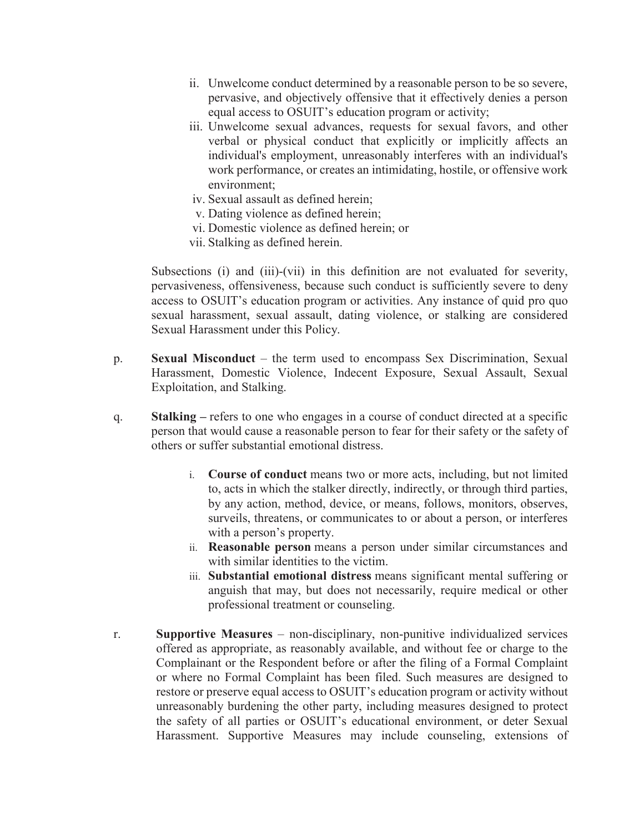- ii. Unwelcome conduct determined by a reasonable person to be so severe, pervasive, and objectively offensive that it effectively denies a person equal access to OSUIT's education program or activity;
- iii. Unwelcome sexual advances, requests for sexual favors, and other verbal or physical conduct that explicitly or implicitly affects an individual's employment, unreasonably interferes with an individual's work performance, or creates an intimidating, hostile, or offensive work environment;
- iv. Sexual assault as defined herein;
- v. Dating violence as defined herein;
- vi. Domestic violence as defined herein; or
- vii. Stalking as defined herein.

Subsections (i) and (iii)-(vii) in this definition are not evaluated for severity, pervasiveness, offensiveness, because such conduct is sufficiently severe to deny access to OSUIT's education program or activities. Any instance of quid pro quo sexual harassment, sexual assault, dating violence, or stalking are considered Sexual Harassment under this Policy.

- p. **Sexual Misconduct** the term used to encompass Sex Discrimination, Sexual Harassment, Domestic Violence, Indecent Exposure, Sexual Assault, Sexual Exploitation, and Stalking.
- q. **Stalking** refers to one who engages in a course of conduct directed at a specific person that would cause a reasonable person to fear for their safety or the safety of others or suffer substantial emotional distress.
	- i. **Course of conduct** means two or more acts, including, but not limited to, acts in which the stalker directly, indirectly, or through third parties, by any action, method, device, or means, follows, monitors, observes, surveils, threatens, or communicates to or about a person, or interferes with a person's property.
	- ii. **Reasonable person** means a person under similar circumstances and with similar identities to the victim.
	- iii. **Substantial emotional distress** means significant mental suffering or anguish that may, but does not necessarily, require medical or other professional treatment or counseling.
- r. **Supportive Measures** non-disciplinary, non-punitive individualized services offered as appropriate, as reasonably available, and without fee or charge to the Complainant or the Respondent before or after the filing of a Formal Complaint or where no Formal Complaint has been filed. Such measures are designed to restore or preserve equal access to OSUIT's education program or activity without unreasonably burdening the other party, including measures designed to protect the safety of all parties or OSUIT's educational environment, or deter Sexual Harassment. Supportive Measures may include counseling, extensions of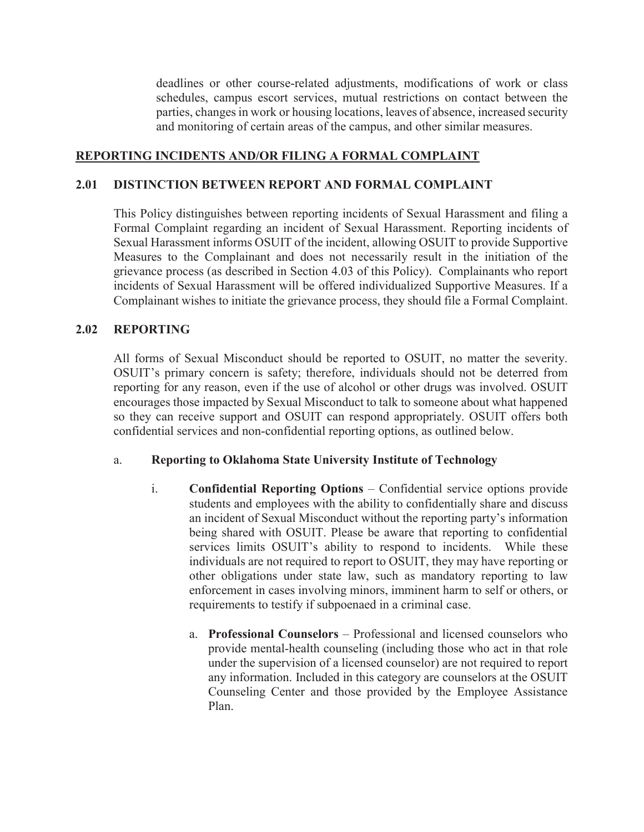deadlines or other course-related adjustments, modifications of work or class schedules, campus escort services, mutual restrictions on contact between the parties, changes in work or housing locations, leaves of absence, increased security and monitoring of certain areas of the campus, and other similar measures.

## **REPORTING INCIDENTS AND/OR FILING A FORMAL COMPLAINT**

### **2.01 DISTINCTION BETWEEN REPORT AND FORMAL COMPLAINT**

This Policy distinguishes between reporting incidents of Sexual Harassment and filing a Formal Complaint regarding an incident of Sexual Harassment. Reporting incidents of Sexual Harassment informs OSUIT of the incident, allowing OSUIT to provide Supportive Measures to the Complainant and does not necessarily result in the initiation of the grievance process (as described in Section 4.03 of this Policy). Complainants who report incidents of Sexual Harassment will be offered individualized Supportive Measures. If a Complainant wishes to initiate the grievance process, they should file a Formal Complaint.

### **2.02 REPORTING**

All forms of Sexual Misconduct should be reported to OSUIT, no matter the severity. OSUIT's primary concern is safety; therefore, individuals should not be deterred from reporting for any reason, even if the use of alcohol or other drugs was involved. OSUIT encourages those impacted by Sexual Misconduct to talk to someone about what happened so they can receive support and OSUIT can respond appropriately. OSUIT offers both confidential services and non-confidential reporting options, as outlined below.

#### a. **Reporting to Oklahoma State University Institute of Technology**

- i. **Confidential Reporting Options** Confidential service options provide students and employees with the ability to confidentially share and discuss an incident of Sexual Misconduct without the reporting party's information being shared with OSUIT. Please be aware that reporting to confidential services limits OSUIT's ability to respond to incidents. While these individuals are not required to report to OSUIT, they may have reporting or other obligations under state law, such as mandatory reporting to law enforcement in cases involving minors, imminent harm to self or others, or requirements to testify if subpoenaed in a criminal case.
	- a. **Professional Counselors** Professional and licensed counselors who provide mental-health counseling (including those who act in that role under the supervision of a licensed counselor) are not required to report any information. Included in this category are counselors at the OSUIT Counseling Center and those provided by the Employee Assistance Plan.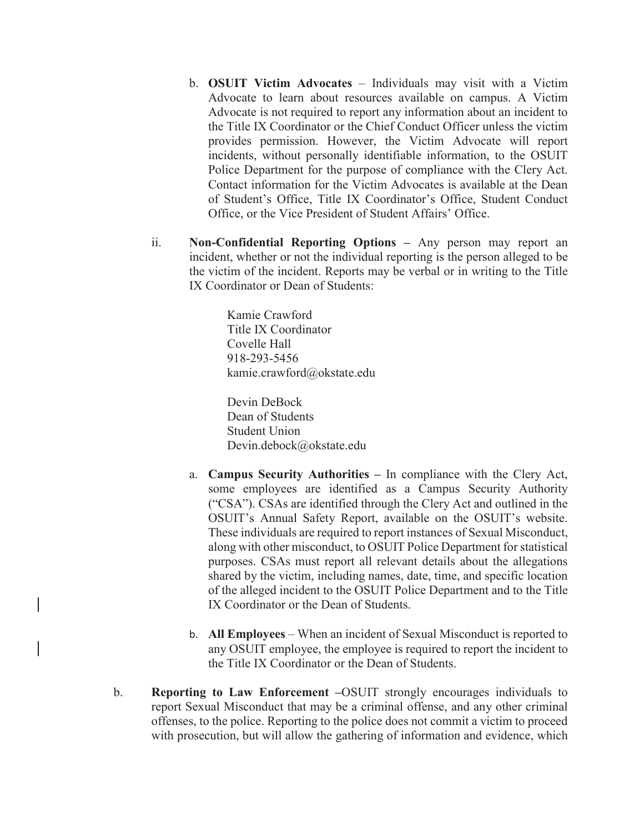- b. **OSUIT Victim Advocates** Individuals may visit with a Victim Advocate to learn about resources available on campus. A Victim Advocate is not required to report any information about an incident to the Title IX Coordinator or the Chief Conduct Officer unless the victim provides permission. However, the Victim Advocate will report incidents, without personally identifiable information, to the OSUIT Police Department for the purpose of compliance with the Clery Act. Contact information for the Victim Advocates is available at the Dean of Student's Office, Title IX Coordinator's Office, Student Conduct Office, or the Vice President of Student Affairs' Office.
- ii. **Non-Confidential Reporting Options** Any person may report an incident, whether or not the individual reporting is the person alleged to be the victim of the incident. Reports may be verbal or in writing to the Title IX Coordinator or Dean of Students:

Kamie Crawford Title IX Coordinator Covelle Hall 918-293-5456 kamie.crawford@okstate.edu

Devin DeBock Dean of Students Student Union Devin.debock@okstate.edu

- a. **Campus Security Authorities** In compliance with the Clery Act, some employees are identified as a Campus Security Authority ("CSA"). CSAs are identified through the Clery Act and outlined in the OSUIT's Annual Safety Report, available on the OSUIT's website. These individuals are required to report instances of Sexual Misconduct, along with other misconduct, to OSUIT Police Department for statistical purposes. CSAs must report all relevant details about the allegations shared by the victim, including names, date, time, and specific location of the alleged incident to the OSUIT Police Department and to the Title IX Coordinator or the Dean of Students.
- b. **All Employees** When an incident of Sexual Misconduct is reported to any OSUIT employee, the employee is required to report the incident to the Title IX Coordinator or the Dean of Students.
- b. **Reporting to Law Enforcement –**OSUIT strongly encourages individuals to report Sexual Misconduct that may be a criminal offense, and any other criminal offenses, to the police. Reporting to the police does not commit a victim to proceed with prosecution, but will allow the gathering of information and evidence, which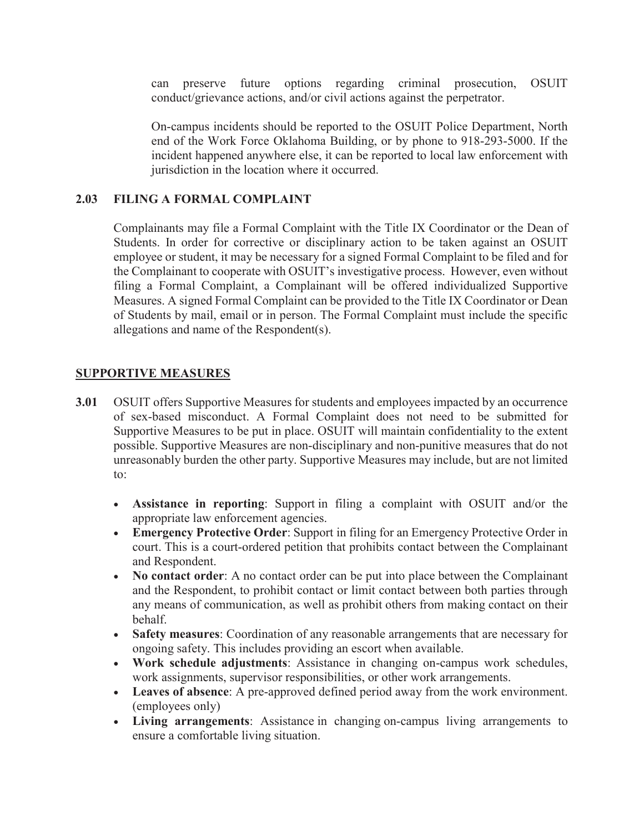can preserve future options regarding criminal prosecution, OSUIT conduct/grievance actions, and/or civil actions against the perpetrator.

On-campus incidents should be reported to the OSUIT Police Department, North end of the Work Force Oklahoma Building, or by phone to 918-293-5000. If the incident happened anywhere else, it can be reported to local law enforcement with jurisdiction in the location where it occurred.

### **2.03 FILING A FORMAL COMPLAINT**

Complainants may file a Formal Complaint with the Title IX Coordinator or the Dean of Students. In order for corrective or disciplinary action to be taken against an OSUIT employee or student, it may be necessary for a signed Formal Complaint to be filed and for the Complainant to cooperate with OSUIT's investigative process. However, even without filing a Formal Complaint, a Complainant will be offered individualized Supportive Measures. A signed Formal Complaint can be provided to the Title IX Coordinator or Dean of Students by mail, email or in person. The Formal Complaint must include the specific allegations and name of the Respondent(s).

### **SUPPORTIVE MEASURES**

- **3.01** OSUIT offers Supportive Measures for students and employees impacted by an occurrence of sex-based misconduct. A Formal Complaint does not need to be submitted for Supportive Measures to be put in place. OSUIT will maintain confidentiality to the extent possible. Supportive Measures are non-disciplinary and non-punitive measures that do not unreasonably burden the other party. Supportive Measures may include, but are not limited to:
	- x **Assistance in reporting**: Support in filing a complaint with OSUIT and/or the appropriate law enforcement agencies.
	- **Emergency Protective Order:** Support in filing for an Emergency Protective Order in court. This is a court-ordered petition that prohibits contact between the Complainant and Respondent.
	- No contact order: A no contact order can be put into place between the Complainant and the Respondent, to prohibit contact or limit contact between both parties through any means of communication, as well as prohibit others from making contact on their behalf.
	- **Safety measures**: Coordination of any reasonable arrangements that are necessary for ongoing safety. This includes providing an escort when available.
	- x **Work schedule adjustments**: Assistance in changing on-campus work schedules, work assignments, supervisor responsibilities, or other work arrangements.
	- x **Leaves of absence**: A pre-approved defined period away from the work environment. (employees only)
	- x **Living arrangements**: Assistance in changing on-campus living arrangements to ensure a comfortable living situation.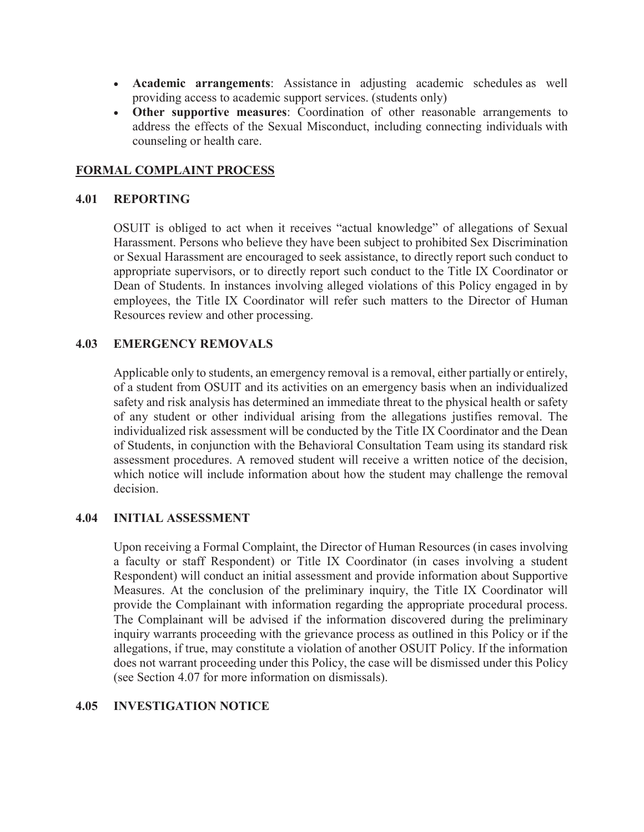- x **Academic arrangements**: Assistance in adjusting academic schedules as well providing access to academic support services. (students only)
- x **Other supportive measures**: Coordination of other reasonable arrangements to address the effects of the Sexual Misconduct, including connecting individuals with counseling or health care.

### **FORMAL COMPLAINT PROCESS**

#### **4.01 REPORTING**

OSUIT is obliged to act when it receives "actual knowledge" of allegations of Sexual Harassment. Persons who believe they have been subject to prohibited Sex Discrimination or Sexual Harassment are encouraged to seek assistance, to directly report such conduct to appropriate supervisors, or to directly report such conduct to the Title IX Coordinator or Dean of Students. In instances involving alleged violations of this Policy engaged in by employees, the Title IX Coordinator will refer such matters to the Director of Human Resources review and other processing.

#### **4.03 EMERGENCY REMOVALS**

Applicable only to students, an emergency removal is a removal, either partially or entirely, of a student from OSUIT and its activities on an emergency basis when an individualized safety and risk analysis has determined an immediate threat to the physical health or safety of any student or other individual arising from the allegations justifies removal. The individualized risk assessment will be conducted by the Title IX Coordinator and the Dean of Students, in conjunction with the Behavioral Consultation Team using its standard risk assessment procedures. A removed student will receive a written notice of the decision, which notice will include information about how the student may challenge the removal decision.

#### **4.04 INITIAL ASSESSMENT**

Upon receiving a Formal Complaint, the Director of Human Resources (in cases involving a faculty or staff Respondent) or Title IX Coordinator (in cases involving a student Respondent) will conduct an initial assessment and provide information about Supportive Measures. At the conclusion of the preliminary inquiry, the Title IX Coordinator will provide the Complainant with information regarding the appropriate procedural process. The Complainant will be advised if the information discovered during the preliminary inquiry warrants proceeding with the grievance process as outlined in this Policy or if the allegations, if true, may constitute a violation of another OSUIT Policy. If the information does not warrant proceeding under this Policy, the case will be dismissed under this Policy (see Section 4.07 for more information on dismissals).

#### **4.05 INVESTIGATION NOTICE**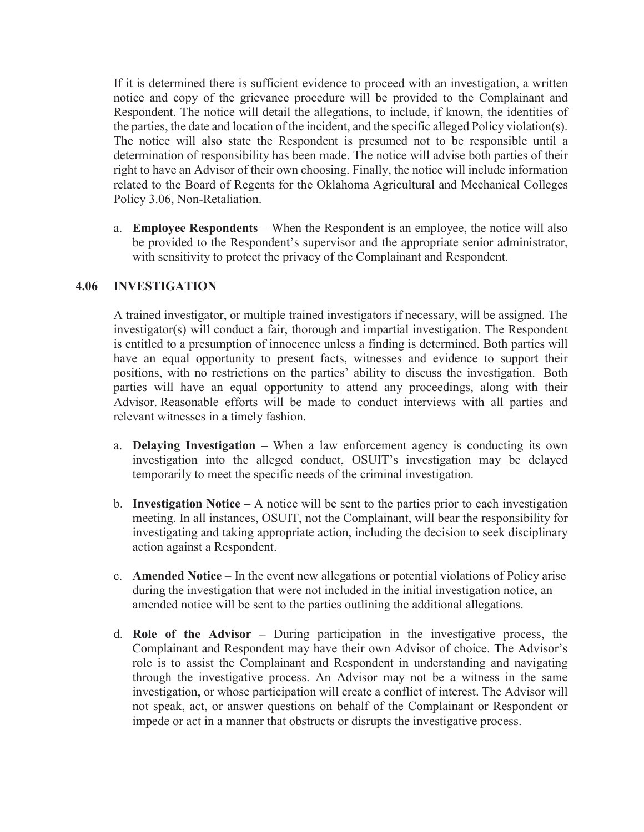If it is determined there is sufficient evidence to proceed with an investigation, a written notice and copy of the grievance procedure will be provided to the Complainant and Respondent. The notice will detail the allegations, to include, if known, the identities of the parties, the date and location of the incident, and the specific alleged Policy violation(s). The notice will also state the Respondent is presumed not to be responsible until a determination of responsibility has been made. The notice will advise both parties of their right to have an Advisor of their own choosing. Finally, the notice will include information related to the Board of Regents for the Oklahoma Agricultural and Mechanical Colleges Policy 3.06, Non-Retaliation.

a. **Employee Respondents** – When the Respondent is an employee, the notice will also be provided to the Respondent's supervisor and the appropriate senior administrator, with sensitivity to protect the privacy of the Complainant and Respondent.

### **4.06 INVESTIGATION**

A trained investigator, or multiple trained investigators if necessary, will be assigned. The investigator(s) will conduct a fair, thorough and impartial investigation. The Respondent is entitled to a presumption of innocence unless a finding is determined. Both parties will have an equal opportunity to present facts, witnesses and evidence to support their positions, with no restrictions on the parties' ability to discuss the investigation. Both parties will have an equal opportunity to attend any proceedings, along with their Advisor. Reasonable efforts will be made to conduct interviews with all parties and relevant witnesses in a timely fashion.

- a. **Delaying Investigation** When a law enforcement agency is conducting its own investigation into the alleged conduct, OSUIT's investigation may be delayed temporarily to meet the specific needs of the criminal investigation.
- b. **Investigation Notice** A notice will be sent to the parties prior to each investigation meeting. In all instances, OSUIT, not the Complainant, will bear the responsibility for investigating and taking appropriate action, including the decision to seek disciplinary action against a Respondent.
- c. **Amended Notice** In the event new allegations or potential violations of Policy arise during the investigation that were not included in the initial investigation notice, an amended notice will be sent to the parties outlining the additional allegations.
- d. **Role of the Advisor –** During participation in the investigative process, the Complainant and Respondent may have their own Advisor of choice. The Advisor's role is to assist the Complainant and Respondent in understanding and navigating through the investigative process. An Advisor may not be a witness in the same investigation, or whose participation will create a conflict of interest. The Advisor will not speak, act, or answer questions on behalf of the Complainant or Respondent or impede or act in a manner that obstructs or disrupts the investigative process.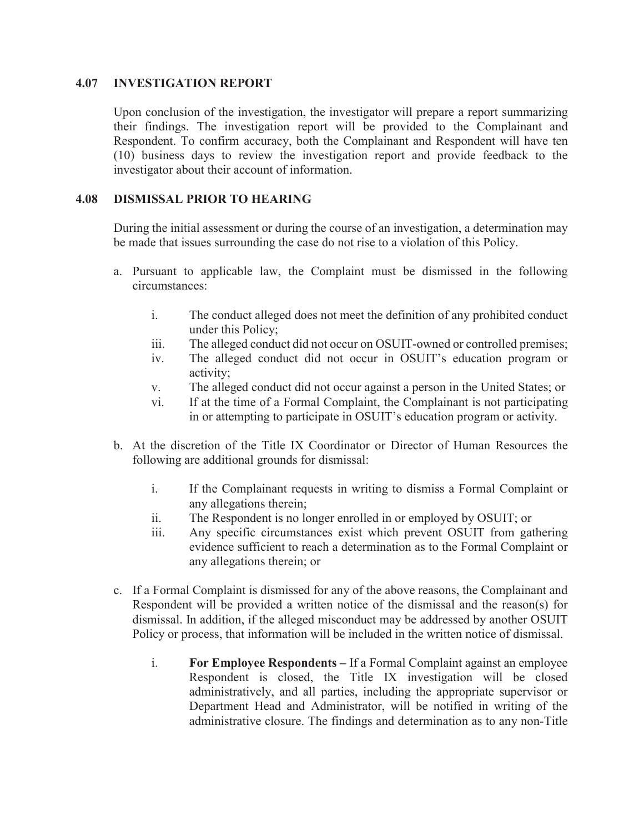#### **4.07 INVESTIGATION REPORT**

Upon conclusion of the investigation, the investigator will prepare a report summarizing their findings. The investigation report will be provided to the Complainant and Respondent. To confirm accuracy, both the Complainant and Respondent will have ten (10) business days to review the investigation report and provide feedback to the investigator about their account of information.

#### **4.08 DISMISSAL PRIOR TO HEARING**

During the initial assessment or during the course of an investigation, a determination may be made that issues surrounding the case do not rise to a violation of this Policy.

- a. Pursuant to applicable law, the Complaint must be dismissed in the following circumstances:
	- i. The conduct alleged does not meet the definition of any prohibited conduct under this Policy;
	- iii. The alleged conduct did not occur on OSUIT-owned or controlled premises;
	- iv. The alleged conduct did not occur in OSUIT's education program or activity;
	- v. The alleged conduct did not occur against a person in the United States; or
	- vi. If at the time of a Formal Complaint, the Complainant is not participating in or attempting to participate in OSUIT's education program or activity.
- b. At the discretion of the Title IX Coordinator or Director of Human Resources the following are additional grounds for dismissal:
	- i. If the Complainant requests in writing to dismiss a Formal Complaint or any allegations therein;
	- ii. The Respondent is no longer enrolled in or employed by OSUIT; or
	- iii. Any specific circumstances exist which prevent OSUIT from gathering evidence sufficient to reach a determination as to the Formal Complaint or any allegations therein; or
- c. If a Formal Complaint is dismissed for any of the above reasons, the Complainant and Respondent will be provided a written notice of the dismissal and the reason(s) for dismissal. In addition, if the alleged misconduct may be addressed by another OSUIT Policy or process, that information will be included in the written notice of dismissal.
	- i. **For Employee Respondents** If a Formal Complaint against an employee Respondent is closed, the Title IX investigation will be closed administratively, and all parties, including the appropriate supervisor or Department Head and Administrator, will be notified in writing of the administrative closure. The findings and determination as to any non-Title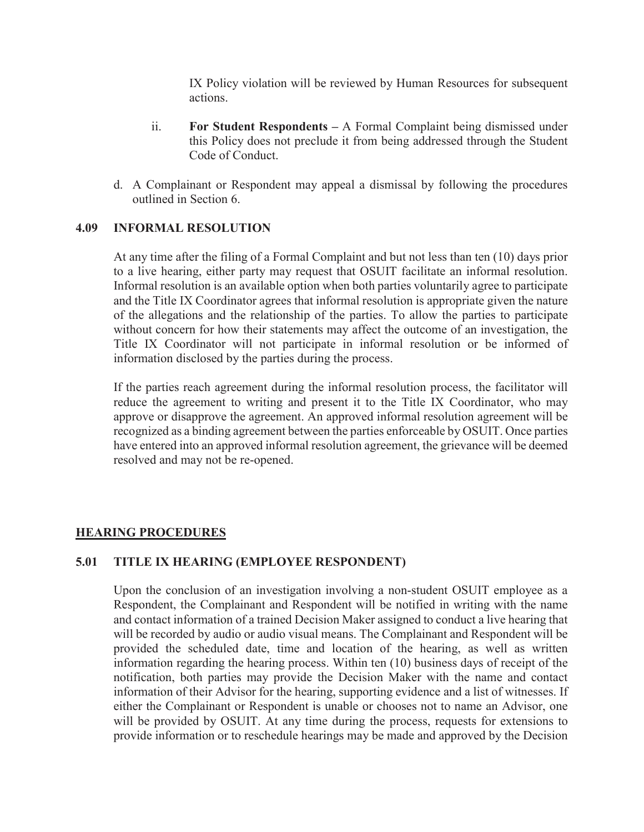IX Policy violation will be reviewed by Human Resources for subsequent actions.

- ii. **For Student Respondents –** A Formal Complaint being dismissed under this Policy does not preclude it from being addressed through the Student Code of Conduct.
- d. A Complainant or Respondent may appeal a dismissal by following the procedures outlined in Section 6.

### **4.09 INFORMAL RESOLUTION**

At any time after the filing of a Formal Complaint and but not less than ten (10) days prior to a live hearing, either party may request that OSUIT facilitate an informal resolution. Informal resolution is an available option when both parties voluntarily agree to participate and the Title IX Coordinator agrees that informal resolution is appropriate given the nature of the allegations and the relationship of the parties. To allow the parties to participate without concern for how their statements may affect the outcome of an investigation, the Title IX Coordinator will not participate in informal resolution or be informed of information disclosed by the parties during the process.

If the parties reach agreement during the informal resolution process, the facilitator will reduce the agreement to writing and present it to the Title IX Coordinator, who may approve or disapprove the agreement. An approved informal resolution agreement will be recognized as a binding agreement between the parties enforceable by OSUIT. Once parties have entered into an approved informal resolution agreement, the grievance will be deemed resolved and may not be re-opened.

### **HEARING PROCEDURES**

#### **5.01 TITLE IX HEARING (EMPLOYEE RESPONDENT)**

Upon the conclusion of an investigation involving a non-student OSUIT employee as a Respondent, the Complainant and Respondent will be notified in writing with the name and contact information of a trained Decision Maker assigned to conduct a live hearing that will be recorded by audio or audio visual means. The Complainant and Respondent will be provided the scheduled date, time and location of the hearing, as well as written information regarding the hearing process. Within ten (10) business days of receipt of the notification, both parties may provide the Decision Maker with the name and contact information of their Advisor for the hearing, supporting evidence and a list of witnesses. If either the Complainant or Respondent is unable or chooses not to name an Advisor, one will be provided by OSUIT. At any time during the process, requests for extensions to provide information or to reschedule hearings may be made and approved by the Decision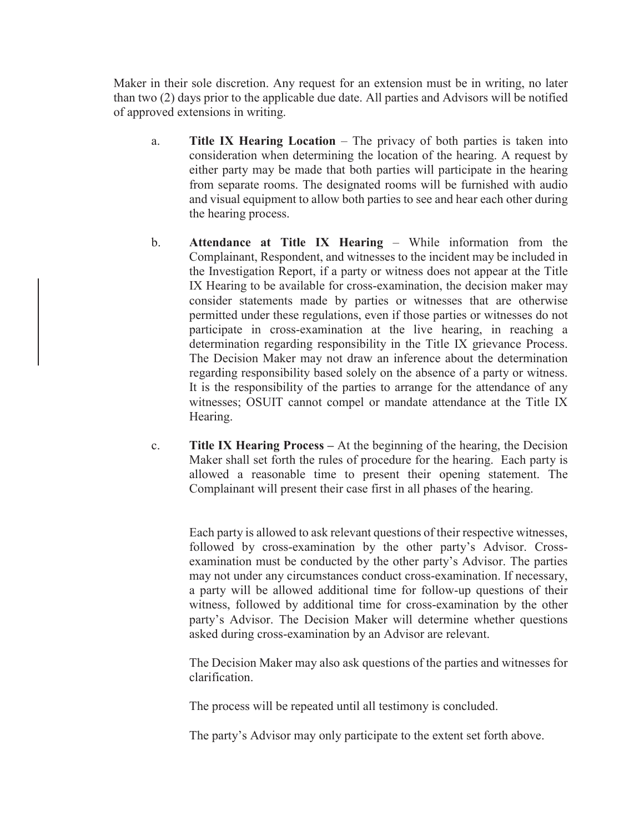Maker in their sole discretion. Any request for an extension must be in writing, no later than two (2) days prior to the applicable due date. All parties and Advisors will be notified of approved extensions in writing.

- a. **Title IX Hearing Location** The privacy of both parties is taken into consideration when determining the location of the hearing. A request by either party may be made that both parties will participate in the hearing from separate rooms. The designated rooms will be furnished with audio and visual equipment to allow both parties to see and hear each other during the hearing process.
- b. **Attendance at Title IX Hearing** While information from the Complainant, Respondent, and witnesses to the incident may be included in the Investigation Report, if a party or witness does not appear at the Title IX Hearing to be available for cross-examination, the decision maker may consider statements made by parties or witnesses that are otherwise permitted under these regulations, even if those parties or witnesses do not participate in cross-examination at the live hearing, in reaching a determination regarding responsibility in the Title IX grievance Process. The Decision Maker may not draw an inference about the determination regarding responsibility based solely on the absence of a party or witness. It is the responsibility of the parties to arrange for the attendance of any witnesses; OSUIT cannot compel or mandate attendance at the Title IX Hearing.
- c. **Title IX Hearing Process –** At the beginning of the hearing, the Decision Maker shall set forth the rules of procedure for the hearing. Each party is allowed a reasonable time to present their opening statement. The Complainant will present their case first in all phases of the hearing.

Each party is allowed to ask relevant questions of their respective witnesses, followed by cross-examination by the other party's Advisor. Crossexamination must be conducted by the other party's Advisor. The parties may not under any circumstances conduct cross-examination. If necessary, a party will be allowed additional time for follow-up questions of their witness, followed by additional time for cross-examination by the other party's Advisor. The Decision Maker will determine whether questions asked during cross-examination by an Advisor are relevant.

The Decision Maker may also ask questions of the parties and witnesses for clarification.

The process will be repeated until all testimony is concluded.

The party's Advisor may only participate to the extent set forth above.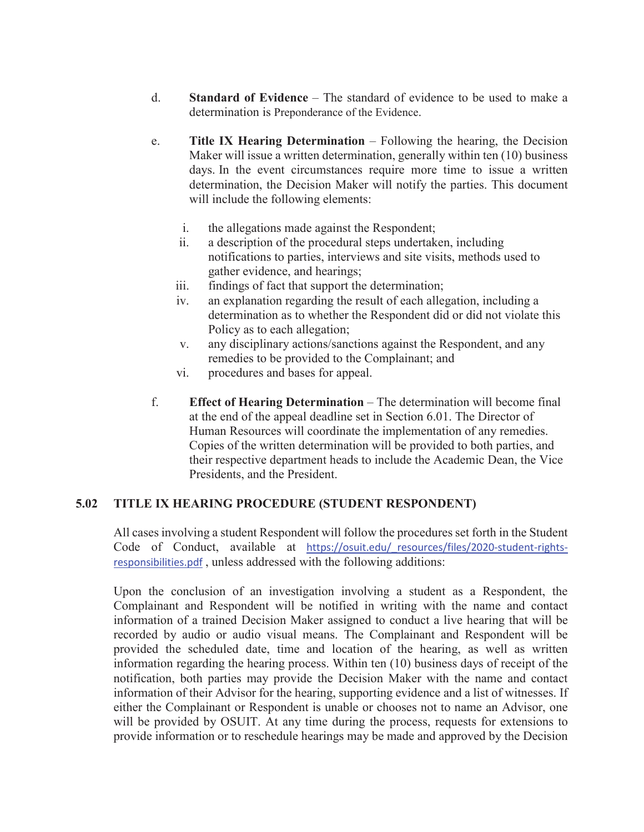- d. **Standard of Evidence** The standard of evidence to be used to make a determination is Preponderance of the Evidence.
- e. **Title IX Hearing Determination** Following the hearing, the Decision Maker will issue a written determination, generally within ten (10) business days. In the event circumstances require more time to issue a written determination, the Decision Maker will notify the parties. This document will include the following elements:
	- i. the allegations made against the Respondent;
	- ii. a description of the procedural steps undertaken, including notifications to parties, interviews and site visits, methods used to gather evidence, and hearings;
	- iii. findings of fact that support the determination;
	- iv. an explanation regarding the result of each allegation, including a determination as to whether the Respondent did or did not violate this Policy as to each allegation;
	- v. any disciplinary actions/sanctions against the Respondent, and any remedies to be provided to the Complainant; and
	- vi. procedures and bases for appeal.
- f. **Effect of Hearing Determination** The determination will become final at the end of the appeal deadline set in Section 6.01. The Director of Human Resources will coordinate the implementation of any remedies. Copies of the written determination will be provided to both parties, and their respective department heads to include the Academic Dean, the Vice Presidents, and the President.

### **5.02 TITLE IX HEARING PROCEDURE (STUDENT RESPONDENT)**

All cases involving a student Respondent will follow the procedures set forth in the Student Code of Conduct, available at https://osuit.edu/\_resources/files/2020-student-rightsresponsibilities.pdf , unless addressed with the following additions:

Upon the conclusion of an investigation involving a student as a Respondent, the Complainant and Respondent will be notified in writing with the name and contact information of a trained Decision Maker assigned to conduct a live hearing that will be recorded by audio or audio visual means. The Complainant and Respondent will be provided the scheduled date, time and location of the hearing, as well as written information regarding the hearing process. Within ten (10) business days of receipt of the notification, both parties may provide the Decision Maker with the name and contact information of their Advisor for the hearing, supporting evidence and a list of witnesses. If either the Complainant or Respondent is unable or chooses not to name an Advisor, one will be provided by OSUIT. At any time during the process, requests for extensions to provide information or to reschedule hearings may be made and approved by the Decision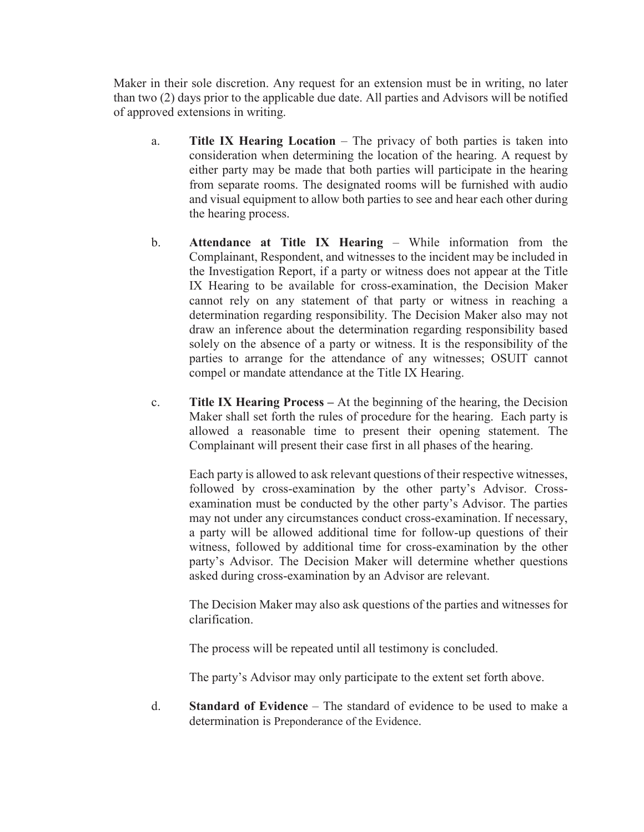Maker in their sole discretion. Any request for an extension must be in writing, no later than two (2) days prior to the applicable due date. All parties and Advisors will be notified of approved extensions in writing.

- a. **Title IX Hearing Location** The privacy of both parties is taken into consideration when determining the location of the hearing. A request by either party may be made that both parties will participate in the hearing from separate rooms. The designated rooms will be furnished with audio and visual equipment to allow both parties to see and hear each other during the hearing process.
- b. **Attendance at Title IX Hearing** While information from the Complainant, Respondent, and witnesses to the incident may be included in the Investigation Report, if a party or witness does not appear at the Title IX Hearing to be available for cross-examination, the Decision Maker cannot rely on any statement of that party or witness in reaching a determination regarding responsibility. The Decision Maker also may not draw an inference about the determination regarding responsibility based solely on the absence of a party or witness. It is the responsibility of the parties to arrange for the attendance of any witnesses; OSUIT cannot compel or mandate attendance at the Title IX Hearing.
- c. **Title IX Hearing Process –** At the beginning of the hearing, the Decision Maker shall set forth the rules of procedure for the hearing. Each party is allowed a reasonable time to present their opening statement. The Complainant will present their case first in all phases of the hearing.

Each party is allowed to ask relevant questions of their respective witnesses, followed by cross-examination by the other party's Advisor. Crossexamination must be conducted by the other party's Advisor. The parties may not under any circumstances conduct cross-examination. If necessary, a party will be allowed additional time for follow-up questions of their witness, followed by additional time for cross-examination by the other party's Advisor. The Decision Maker will determine whether questions asked during cross-examination by an Advisor are relevant.

The Decision Maker may also ask questions of the parties and witnesses for clarification.

The process will be repeated until all testimony is concluded.

The party's Advisor may only participate to the extent set forth above.

d. **Standard of Evidence** – The standard of evidence to be used to make a determination is Preponderance of the Evidence.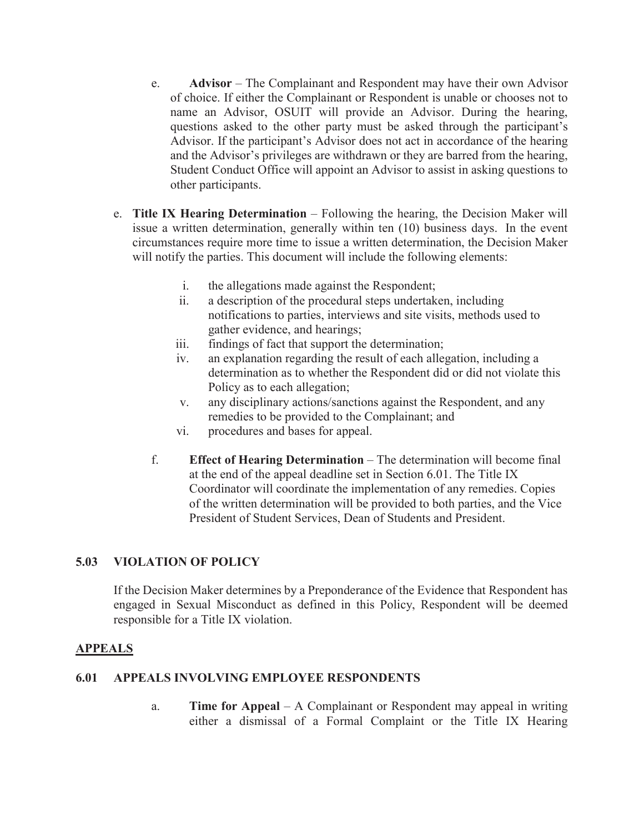- e. **Advisor** The Complainant and Respondent may have their own Advisor of choice. If either the Complainant or Respondent is unable or chooses not to name an Advisor, OSUIT will provide an Advisor. During the hearing, questions asked to the other party must be asked through the participant's Advisor. If the participant's Advisor does not act in accordance of the hearing and the Advisor's privileges are withdrawn or they are barred from the hearing, Student Conduct Office will appoint an Advisor to assist in asking questions to other participants.
- e. **Title IX Hearing Determination** Following the hearing, the Decision Maker will issue a written determination, generally within ten (10) business days. In the event circumstances require more time to issue a written determination, the Decision Maker will notify the parties. This document will include the following elements:
	- i. the allegations made against the Respondent;
	- ii. a description of the procedural steps undertaken, including notifications to parties, interviews and site visits, methods used to gather evidence, and hearings;
	- iii. findings of fact that support the determination;
	- iv. an explanation regarding the result of each allegation, including a determination as to whether the Respondent did or did not violate this Policy as to each allegation;
	- v. any disciplinary actions/sanctions against the Respondent, and any remedies to be provided to the Complainant; and
	- vi. procedures and bases for appeal.
	- f. **Effect of Hearing Determination** The determination will become final at the end of the appeal deadline set in Section 6.01. The Title IX Coordinator will coordinate the implementation of any remedies. Copies of the written determination will be provided to both parties, and the Vice President of Student Services, Dean of Students and President.

### **5.03 VIOLATION OF POLICY**

 If the Decision Maker determines by a Preponderance of the Evidence that Respondent has engaged in Sexual Misconduct as defined in this Policy, Respondent will be deemed responsible for a Title IX violation.

### **APPEALS**

### **6.01 APPEALS INVOLVING EMPLOYEE RESPONDENTS**

a. **Time for Appeal** – A Complainant or Respondent may appeal in writing either a dismissal of a Formal Complaint or the Title IX Hearing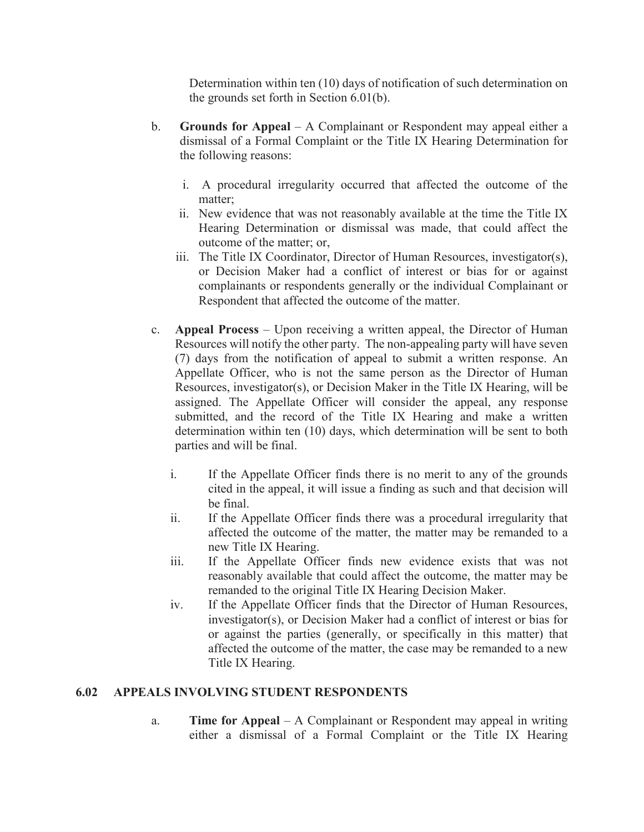Determination within ten (10) days of notification of such determination on the grounds set forth in Section 6.01(b).

- b. **Grounds for Appeal** A Complainant or Respondent may appeal either a dismissal of a Formal Complaint or the Title IX Hearing Determination for the following reasons:
	- i. A procedural irregularity occurred that affected the outcome of the matter;
	- ii. New evidence that was not reasonably available at the time the Title IX Hearing Determination or dismissal was made, that could affect the outcome of the matter; or,
	- iii. The Title IX Coordinator, Director of Human Resources, investigator(s), or Decision Maker had a conflict of interest or bias for or against complainants or respondents generally or the individual Complainant or Respondent that affected the outcome of the matter.
- c. **Appeal Process** Upon receiving a written appeal, the Director of Human Resources will notify the other party. The non-appealing party will have seven (7) days from the notification of appeal to submit a written response. An Appellate Officer, who is not the same person as the Director of Human Resources, investigator(s), or Decision Maker in the Title IX Hearing, will be assigned. The Appellate Officer will consider the appeal, any response submitted, and the record of the Title IX Hearing and make a written determination within ten (10) days, which determination will be sent to both parties and will be final.
	- i. If the Appellate Officer finds there is no merit to any of the grounds cited in the appeal, it will issue a finding as such and that decision will be final.
	- ii. If the Appellate Officer finds there was a procedural irregularity that affected the outcome of the matter, the matter may be remanded to a new Title IX Hearing.
	- iii. If the Appellate Officer finds new evidence exists that was not reasonably available that could affect the outcome, the matter may be remanded to the original Title IX Hearing Decision Maker.
	- iv. If the Appellate Officer finds that the Director of Human Resources, investigator(s), or Decision Maker had a conflict of interest or bias for or against the parties (generally, or specifically in this matter) that affected the outcome of the matter, the case may be remanded to a new Title IX Hearing.

### **6.02 APPEALS INVOLVING STUDENT RESPONDENTS**

a. **Time for Appeal** – A Complainant or Respondent may appeal in writing either a dismissal of a Formal Complaint or the Title IX Hearing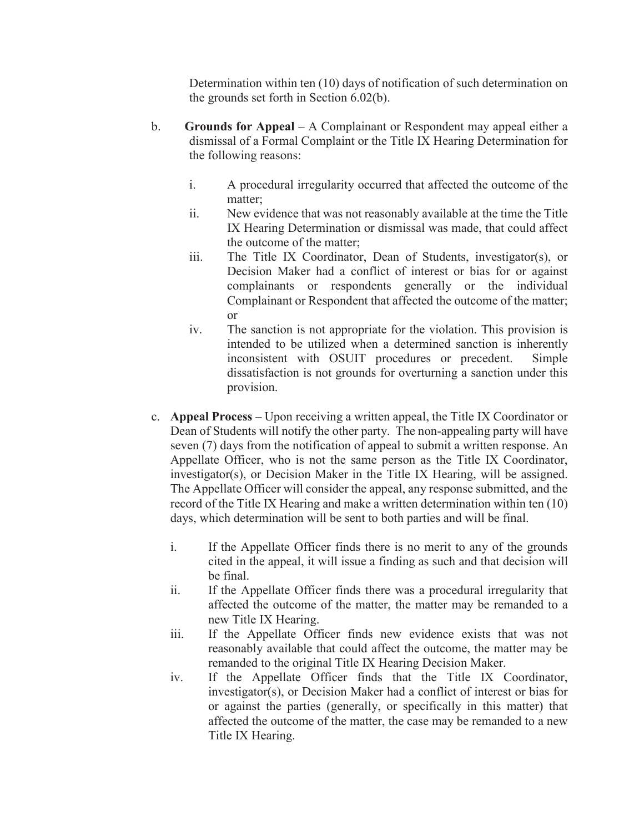Determination within ten (10) days of notification of such determination on the grounds set forth in Section 6.02(b).

- b. **Grounds for Appeal** A Complainant or Respondent may appeal either a dismissal of a Formal Complaint or the Title IX Hearing Determination for the following reasons:
	- i. A procedural irregularity occurred that affected the outcome of the matter;
	- ii. New evidence that was not reasonably available at the time the Title IX Hearing Determination or dismissal was made, that could affect the outcome of the matter;
	- iii. The Title IX Coordinator, Dean of Students, investigator(s), or Decision Maker had a conflict of interest or bias for or against complainants or respondents generally or the individual Complainant or Respondent that affected the outcome of the matter; or
	- iv. The sanction is not appropriate for the violation. This provision is intended to be utilized when a determined sanction is inherently inconsistent with OSUIT procedures or precedent. Simple dissatisfaction is not grounds for overturning a sanction under this provision.
- c. **Appeal Process** Upon receiving a written appeal, the Title IX Coordinator or Dean of Students will notify the other party. The non-appealing party will have seven (7) days from the notification of appeal to submit a written response. An Appellate Officer, who is not the same person as the Title IX Coordinator, investigator(s), or Decision Maker in the Title IX Hearing, will be assigned. The Appellate Officer will consider the appeal, any response submitted, and the record of the Title IX Hearing and make a written determination within ten (10) days, which determination will be sent to both parties and will be final.
	- i. If the Appellate Officer finds there is no merit to any of the grounds cited in the appeal, it will issue a finding as such and that decision will be final.
	- ii. If the Appellate Officer finds there was a procedural irregularity that affected the outcome of the matter, the matter may be remanded to a new Title IX Hearing.
	- iii. If the Appellate Officer finds new evidence exists that was not reasonably available that could affect the outcome, the matter may be remanded to the original Title IX Hearing Decision Maker.
	- iv. If the Appellate Officer finds that the Title IX Coordinator, investigator(s), or Decision Maker had a conflict of interest or bias for or against the parties (generally, or specifically in this matter) that affected the outcome of the matter, the case may be remanded to a new Title IX Hearing.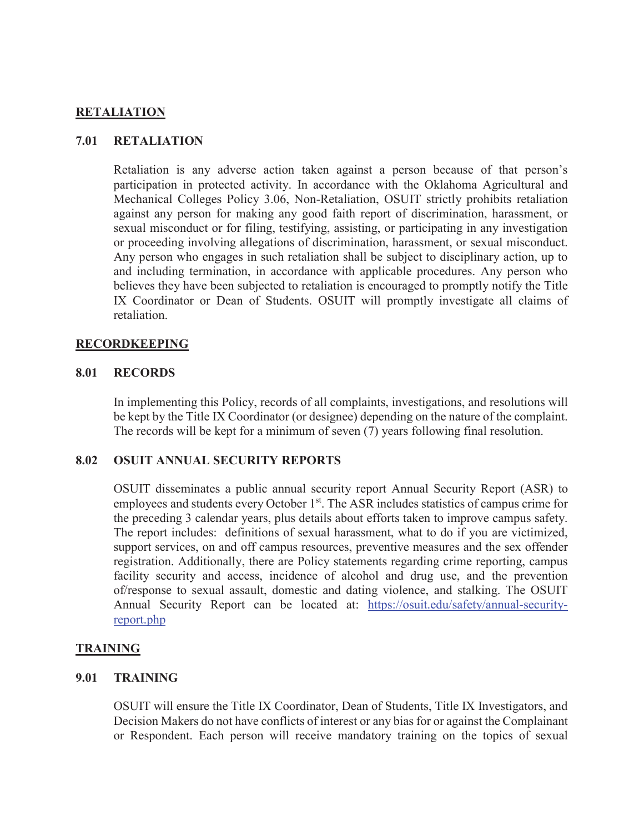### **RETALIATION**

#### **7.01 RETALIATION**

Retaliation is any adverse action taken against a person because of that person's participation in protected activity. In accordance with the Oklahoma Agricultural and Mechanical Colleges Policy 3.06, Non-Retaliation, OSUIT strictly prohibits retaliation against any person for making any good faith report of discrimination, harassment, or sexual misconduct or for filing, testifying, assisting, or participating in any investigation or proceeding involving allegations of discrimination, harassment, or sexual misconduct. Any person who engages in such retaliation shall be subject to disciplinary action, up to and including termination, in accordance with applicable procedures. Any person who believes they have been subjected to retaliation is encouraged to promptly notify the Title IX Coordinator or Dean of Students. OSUIT will promptly investigate all claims of retaliation.

#### **RECORDKEEPING**

#### **8.01 RECORDS**

In implementing this Policy, records of all complaints, investigations, and resolutions will be kept by the Title IX Coordinator (or designee) depending on the nature of the complaint. The records will be kept for a minimum of seven (7) years following final resolution.

#### **8.02 OSUIT ANNUAL SECURITY REPORTS**

OSUIT disseminates a public annual security report Annual Security Report (ASR) to employees and students every October 1<sup>st</sup>. The ASR includes statistics of campus crime for the preceding 3 calendar years, plus details about efforts taken to improve campus safety. The report includes: definitions of sexual harassment, what to do if you are victimized, support services, on and off campus resources, preventive measures and the sex offender registration. Additionally, there are Policy statements regarding crime reporting, campus facility security and access, incidence of alcohol and drug use, and the prevention of/response to sexual assault, domestic and dating violence, and stalking. The OSUIT Annual Security Report can be located at: https://osuit.edu/safety/annual-securityreport.php

#### **TRAINING**

#### **9.01 TRAINING**

OSUIT will ensure the Title IX Coordinator, Dean of Students, Title IX Investigators, and Decision Makers do not have conflicts of interest or any bias for or against the Complainant or Respondent. Each person will receive mandatory training on the topics of sexual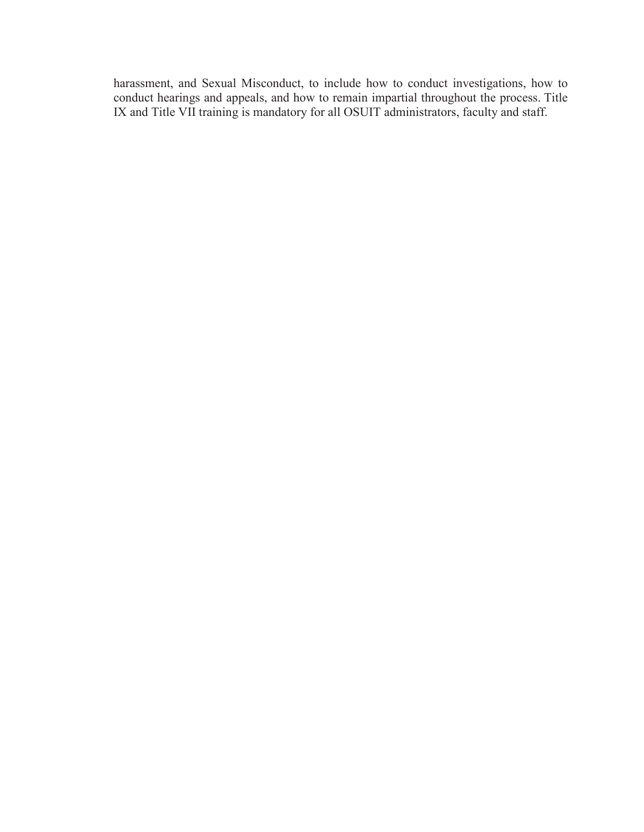harassment, and Sexual Misconduct, to include how to conduct investigations, how to conduct hearings and appeals, and how to remain impartial throughout the process. Title IX and Title VII training is mandatory for all OSUIT administrators, faculty and staff.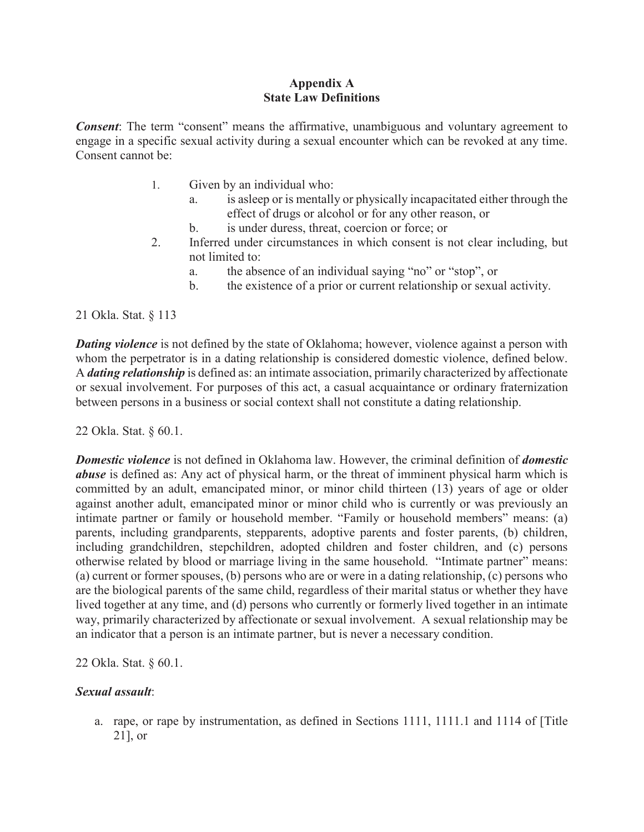### **Appendix A State Law Definitions**

*Consent*: The term "consent" means the affirmative, unambiguous and voluntary agreement to engage in a specific sexual activity during a sexual encounter which can be revoked at any time. Consent cannot be:

- 1. Given by an individual who:
	- a. is asleep or is mentally or physically incapacitated either through the effect of drugs or alcohol or for any other reason, or
	- b. is under duress, threat, coercion or force; or
- 2. Inferred under circumstances in which consent is not clear including, but not limited to:
	- a. the absence of an individual saying "no" or "stop", or
	- b. the existence of a prior or current relationship or sexual activity.

21 Okla. Stat. § 113

*Dating violence* is not defined by the state of Oklahoma; however, violence against a person with whom the perpetrator is in a dating relationship is considered domestic violence, defined below. A *dating relationship* is defined as: an intimate association, primarily characterized by affectionate or sexual involvement. For purposes of this act, a casual acquaintance or ordinary fraternization between persons in a business or social context shall not constitute a dating relationship.

22 Okla. Stat. § 60.1.

*Domestic violence* is not defined in Oklahoma law. However, the criminal definition of *domestic abuse* is defined as: Any act of physical harm, or the threat of imminent physical harm which is committed by an adult, emancipated minor, or minor child thirteen (13) years of age or older against another adult, emancipated minor or minor child who is currently or was previously an intimate partner or family or household member. "Family or household members" means: (a) parents, including grandparents, stepparents, adoptive parents and foster parents, (b) children, including grandchildren, stepchildren, adopted children and foster children, and (c) persons otherwise related by blood or marriage living in the same household. "Intimate partner" means: (a) current or former spouses, (b) persons who are or were in a dating relationship, (c) persons who are the biological parents of the same child, regardless of their marital status or whether they have lived together at any time, and (d) persons who currently or formerly lived together in an intimate way, primarily characterized by affectionate or sexual involvement. A sexual relationship may be an indicator that a person is an intimate partner, but is never a necessary condition.

22 Okla. Stat. § 60.1.

### *Sexual assault*:

a. rape, or rape by instrumentation, as defined in Sections 1111, 1111.1 and 1114 of [Title 21], or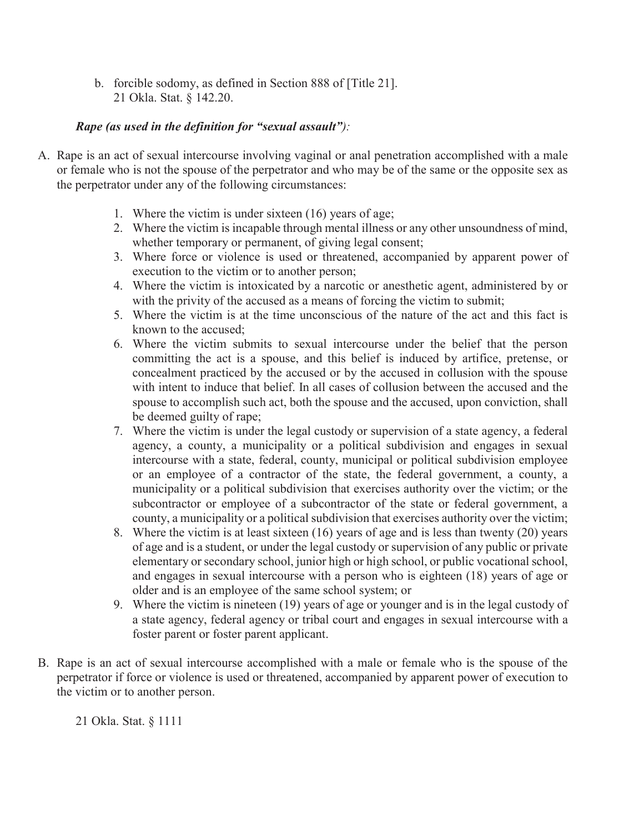b. forcible sodomy, as defined in Section 888 of [Title 21]. 21 Okla. Stat. § 142.20.

### *Rape (as used in the definition for "sexual assault"):*

- A. Rape is an act of sexual intercourse involving vaginal or anal penetration accomplished with a male or female who is not the spouse of the perpetrator and who may be of the same or the opposite sex as the perpetrator under any of the following circumstances:
	- 1. Where the victim is under sixteen (16) years of age;
	- 2. Where the victim is incapable through mental illness or any other unsoundness of mind, whether temporary or permanent, of giving legal consent;
	- 3. Where force or violence is used or threatened, accompanied by apparent power of execution to the victim or to another person;
	- 4. Where the victim is intoxicated by a narcotic or anesthetic agent, administered by or with the privity of the accused as a means of forcing the victim to submit;
	- 5. Where the victim is at the time unconscious of the nature of the act and this fact is known to the accused;
	- 6. Where the victim submits to sexual intercourse under the belief that the person committing the act is a spouse, and this belief is induced by artifice, pretense, or concealment practiced by the accused or by the accused in collusion with the spouse with intent to induce that belief. In all cases of collusion between the accused and the spouse to accomplish such act, both the spouse and the accused, upon conviction, shall be deemed guilty of rape;
	- 7. Where the victim is under the legal custody or supervision of a state agency, a federal agency, a county, a municipality or a political subdivision and engages in sexual intercourse with a state, federal, county, municipal or political subdivision employee or an employee of a contractor of the state, the federal government, a county, a municipality or a political subdivision that exercises authority over the victim; or the subcontractor or employee of a subcontractor of the state or federal government, a county, a municipality or a political subdivision that exercises authority over the victim;
	- 8. Where the victim is at least sixteen (16) years of age and is less than twenty (20) years of age and is a student, or under the legal custody or supervision of any public or private elementary or secondary school, junior high or high school, or public vocational school, and engages in sexual intercourse with a person who is eighteen (18) years of age or older and is an employee of the same school system; or
	- 9. Where the victim is nineteen (19) years of age or younger and is in the legal custody of a state agency, federal agency or tribal court and engages in sexual intercourse with a foster parent or foster parent applicant.
- B. Rape is an act of sexual intercourse accomplished with a male or female who is the spouse of the perpetrator if force or violence is used or threatened, accompanied by apparent power of execution to the victim or to another person.

21 Okla. Stat. § 1111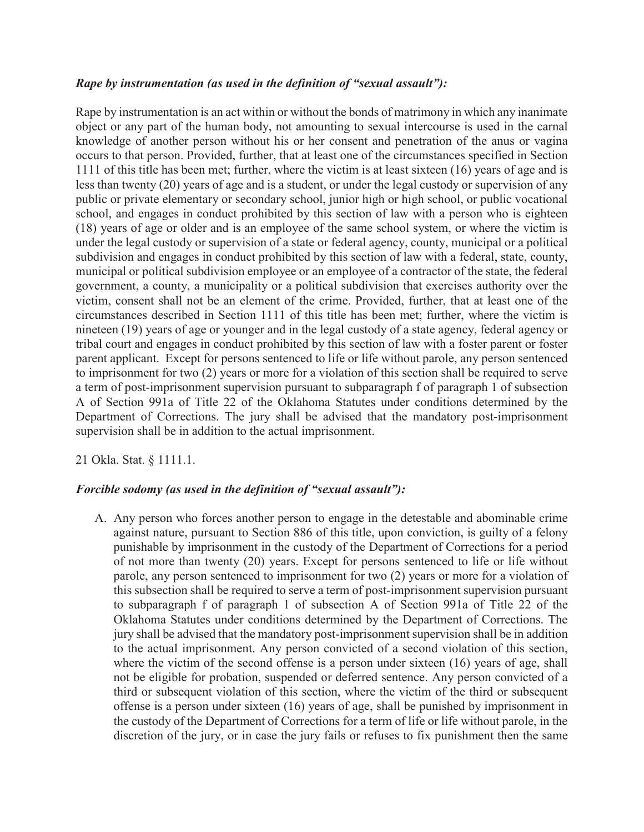#### *Rape by instrumentation (as used in the definition of "sexual assault"):*

Rape by instrumentation is an act within or without the bonds of matrimony in which any inanimate object or any part of the human body, not amounting to sexual intercourse is used in the carnal knowledge of another person without his or her consent and penetration of the anus or vagina occurs to that person. Provided, further, that at least one of the circumstances specified in Section 1111 of this title has been met; further, where the victim is at least sixteen (16) years of age and is less than twenty (20) years of age and is a student, or under the legal custody or supervision of any public or private elementary or secondary school, junior high or high school, or public vocational school, and engages in conduct prohibited by this section of law with a person who is eighteen (18) years of age or older and is an employee of the same school system, or where the victim is under the legal custody or supervision of a state or federal agency, county, municipal or a political subdivision and engages in conduct prohibited by this section of law with a federal, state, county, municipal or political subdivision employee or an employee of a contractor of the state, the federal government, a county, a municipality or a political subdivision that exercises authority over the victim, consent shall not be an element of the crime. Provided, further, that at least one of the circumstances described in Section 1111 of this title has been met; further, where the victim is nineteen (19) years of age or younger and in the legal custody of a state agency, federal agency or tribal court and engages in conduct prohibited by this section of law with a foster parent or foster parent applicant. Except for persons sentenced to life or life without parole, any person sentenced to imprisonment for two (2) years or more for a violation of this section shall be required to serve a term of post-imprisonment supervision pursuant to subparagraph f of paragraph 1 of subsection A of Section 991a of Title 22 of the Oklahoma Statutes under conditions determined by the Department of Corrections. The jury shall be advised that the mandatory post-imprisonment supervision shall be in addition to the actual imprisonment.

21 Okla. Stat. § 1111.1.

#### *Forcible sodomy (as used in the definition of "sexual assault"):*

A. Any person who forces another person to engage in the detestable and abominable crime against nature, pursuant to Section 886 of this title, upon conviction, is guilty of a felony punishable by imprisonment in the custody of the Department of Corrections for a period of not more than twenty (20) years. Except for persons sentenced to life or life without parole, any person sentenced to imprisonment for two (2) years or more for a violation of this subsection shall be required to serve a term of post-imprisonment supervision pursuant to subparagraph f of paragraph 1 of subsection A of Section 991a of Title 22 of the Oklahoma Statutes under conditions determined by the Department of Corrections. The jury shall be advised that the mandatory post-imprisonment supervision shall be in addition to the actual imprisonment. Any person convicted of a second violation of this section, where the victim of the second offense is a person under sixteen (16) years of age, shall not be eligible for probation, suspended or deferred sentence. Any person convicted of a third or subsequent violation of this section, where the victim of the third or subsequent offense is a person under sixteen (16) years of age, shall be punished by imprisonment in the custody of the Department of Corrections for a term of life or life without parole, in the discretion of the jury, or in case the jury fails or refuses to fix punishment then the same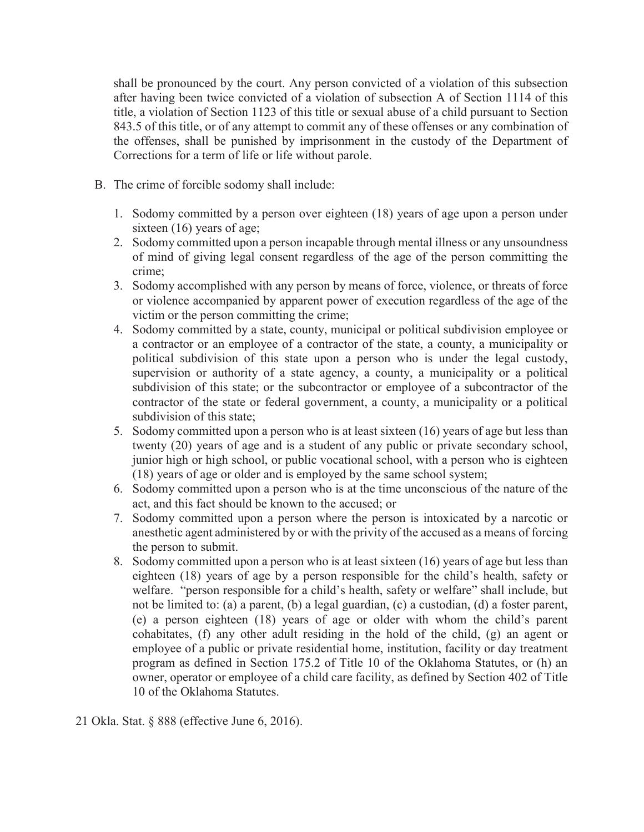shall be pronounced by the court. Any person convicted of a violation of this subsection after having been twice convicted of a violation of subsection A of Section 1114 of this title, a violation of Section 1123 of this title or sexual abuse of a child pursuant to Section 843.5 of this title, or of any attempt to commit any of these offenses or any combination of the offenses, shall be punished by imprisonment in the custody of the Department of Corrections for a term of life or life without parole.

- B. The crime of forcible sodomy shall include:
	- 1. Sodomy committed by a person over eighteen (18) years of age upon a person under sixteen (16) years of age;
	- 2. Sodomy committed upon a person incapable through mental illness or any unsoundness of mind of giving legal consent regardless of the age of the person committing the crime;
	- 3. Sodomy accomplished with any person by means of force, violence, or threats of force or violence accompanied by apparent power of execution regardless of the age of the victim or the person committing the crime;
	- 4. Sodomy committed by a state, county, municipal or political subdivision employee or a contractor or an employee of a contractor of the state, a county, a municipality or political subdivision of this state upon a person who is under the legal custody, supervision or authority of a state agency, a county, a municipality or a political subdivision of this state; or the subcontractor or employee of a subcontractor of the contractor of the state or federal government, a county, a municipality or a political subdivision of this state;
	- 5. Sodomy committed upon a person who is at least sixteen (16) years of age but less than twenty (20) years of age and is a student of any public or private secondary school, junior high or high school, or public vocational school, with a person who is eighteen (18) years of age or older and is employed by the same school system;
	- 6. Sodomy committed upon a person who is at the time unconscious of the nature of the act, and this fact should be known to the accused; or
	- 7. Sodomy committed upon a person where the person is intoxicated by a narcotic or anesthetic agent administered by or with the privity of the accused as a means of forcing the person to submit.
	- 8. Sodomy committed upon a person who is at least sixteen (16) years of age but less than eighteen (18) years of age by a person responsible for the child's health, safety or welfare. "person responsible for a child's health, safety or welfare" shall include, but not be limited to: (a) a parent, (b) a legal guardian, (c) a custodian, (d) a foster parent, (e) a person eighteen (18) years of age or older with whom the child's parent cohabitates, (f) any other adult residing in the hold of the child, (g) an agent or employee of a public or private residential home, institution, facility or day treatment program as defined in Section 175.2 of Title 10 of the Oklahoma Statutes, or (h) an owner, operator or employee of a child care facility, as defined by Section 402 of Title 10 of the Oklahoma Statutes.
- 21 Okla. Stat. § 888 (effective June 6, 2016).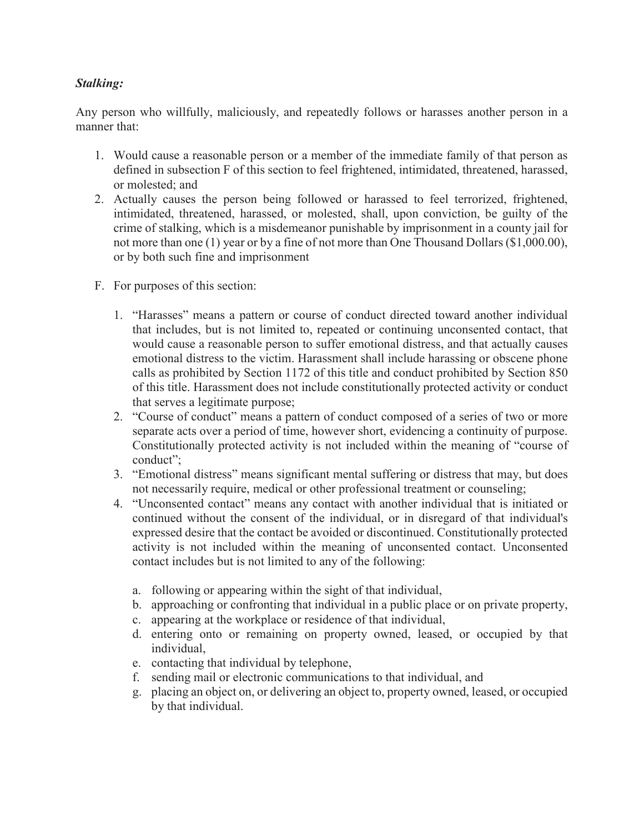## *Stalking:*

Any person who willfully, maliciously, and repeatedly follows or harasses another person in a manner that:

- 1. Would cause a reasonable person or a member of the immediate family of that person as defined in subsection F of this section to feel frightened, intimidated, threatened, harassed, or molested; and
- 2. Actually causes the person being followed or harassed to feel terrorized, frightened, intimidated, threatened, harassed, or molested, shall, upon conviction, be guilty of the crime of stalking, which is a misdemeanor punishable by imprisonment in a county jail for not more than one (1) year or by a fine of not more than One Thousand Dollars (\$1,000.00), or by both such fine and imprisonment
- F. For purposes of this section:
	- 1. "Harasses" means a pattern or course of conduct directed toward another individual that includes, but is not limited to, repeated or continuing unconsented contact, that would cause a reasonable person to suffer emotional distress, and that actually causes emotional distress to the victim. Harassment shall include harassing or obscene phone calls as prohibited by Section 1172 of this title and conduct prohibited by Section 850 of this title. Harassment does not include constitutionally protected activity or conduct that serves a legitimate purpose;
	- 2. "Course of conduct" means a pattern of conduct composed of a series of two or more separate acts over a period of time, however short, evidencing a continuity of purpose. Constitutionally protected activity is not included within the meaning of "course of conduct";
	- 3. "Emotional distress" means significant mental suffering or distress that may, but does not necessarily require, medical or other professional treatment or counseling;
	- 4. "Unconsented contact" means any contact with another individual that is initiated or continued without the consent of the individual, or in disregard of that individual's expressed desire that the contact be avoided or discontinued. Constitutionally protected activity is not included within the meaning of unconsented contact. Unconsented contact includes but is not limited to any of the following:
		- a. following or appearing within the sight of that individual,
		- b. approaching or confronting that individual in a public place or on private property,
		- c. appearing at the workplace or residence of that individual,
		- d. entering onto or remaining on property owned, leased, or occupied by that individual,
		- e. contacting that individual by telephone,
		- f. sending mail or electronic communications to that individual, and
		- g. placing an object on, or delivering an object to, property owned, leased, or occupied by that individual.